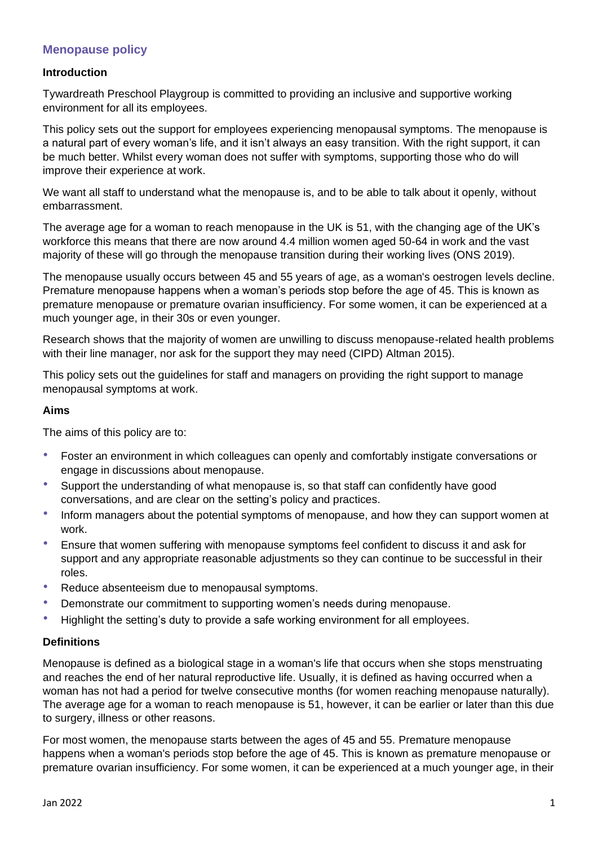# **Menopause policy**

## **Introduction**

Tywardreath Preschool Playgroup is committed to providing an inclusive and supportive working environment for all its employees.

This policy sets out the support for employees experiencing menopausal symptoms. The menopause is a natural part of every woman's life, and it isn't always an easy transition. With the right support, it can be much better. Whilst every woman does not suffer with symptoms, supporting those who do will improve their experience at work.

We want all staff to understand what the menopause is, and to be able to talk about it openly, without embarrassment.

The average age for a woman to reach menopause in the UK is 51, with the changing age of the UK's workforce this means that there are now around 4.4 million women aged 50-64 in work and the vast majority of these will go through the menopause transition during their working lives (ONS 2019).

The menopause usually occurs between 45 and 55 years of age, as a woman's oestrogen levels decline. Premature menopause happens when a woman's periods stop before the age of 45. This is known as premature menopause or premature ovarian insufficiency. For some women, it can be experienced at a much younger age, in their 30s or even younger.

Research shows that the majority of women are unwilling to discuss menopause-related health problems with their line manager, nor ask for the support they may need (CIPD) Altman 2015).

This policy sets out the guidelines for staff and managers on providing the right support to manage menopausal symptoms at work.

## **Aims**

The aims of this policy are to:

- Foster an environment in which colleagues can openly and comfortably instigate conversations or engage in discussions about menopause.
- Support the understanding of what menopause is, so that staff can confidently have good conversations, and are clear on the setting's policy and practices.
- Inform managers about the potential symptoms of menopause, and how they can support women at work.
- Ensure that women suffering with menopause symptoms feel confident to discuss it and ask for support and any appropriate reasonable adjustments so they can continue to be successful in their roles.
- Reduce absenteeism due to menopausal symptoms.
- Demonstrate our commitment to supporting women's needs during menopause.
- Highlight the setting's duty to provide a safe working environment for all employees.

## **Definitions**

Menopause is defined as a biological stage in a woman's life that occurs when she stops menstruating and reaches the end of her natural reproductive life. Usually, it is defined as having occurred when a woman has not had a period for twelve consecutive months (for women reaching menopause naturally). The average age for a woman to reach menopause is 51, however, it can be earlier or later than this due to surgery, illness or other reasons.

For most women, the menopause starts between the ages of 45 and 55. Premature menopause happens when a woman's periods stop before the age of 45. This is known as premature menopause or premature ovarian insufficiency. For some women, it can be experienced at a much younger age, in their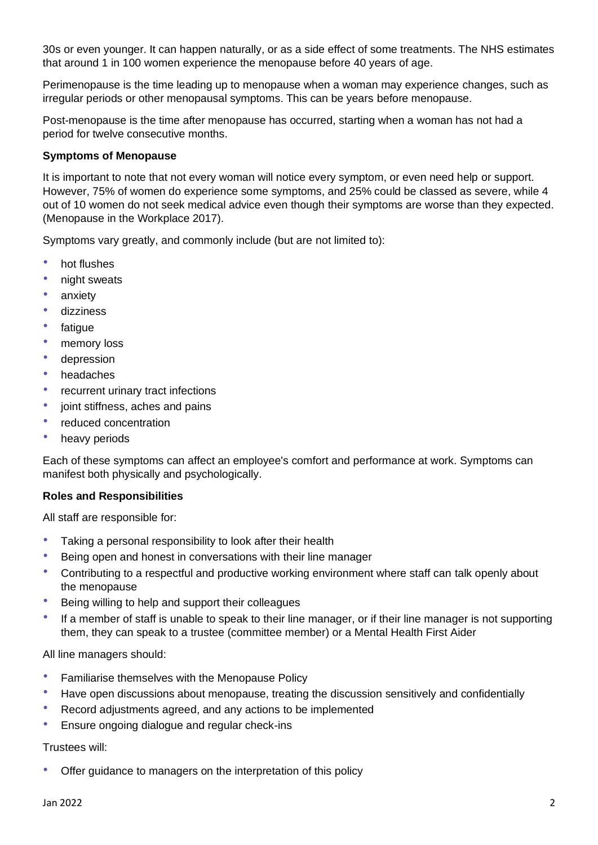30s or even younger. It can happen naturally, or as a side effect of some treatments. The NHS estimates that around 1 in 100 women experience the menopause before 40 years of age.

Perimenopause is the time leading up to menopause when a woman may experience changes, such as irregular periods or other menopausal symptoms. This can be years before menopause.

Post-menopause is the time after menopause has occurred, starting when a woman has not had a period for twelve consecutive months.

### **Symptoms of Menopause**

It is important to note that not every woman will notice every symptom, or even need help or support. However, 75% of women do experience some symptoms, and 25% could be classed as severe, while 4 out of 10 women do not seek medical advice even though their symptoms are worse than they expected. (Menopause in the Workplace 2017).

Symptoms vary greatly, and commonly include (but are not limited to):

- hot flushes
- night sweats
- anxiety
- dizziness
- fatique
- memory loss
- depression
- headaches
- recurrent urinary tract infections
- joint stiffness, aches and pains
- reduced concentration
- heavy periods

Each of these symptoms can affect an employee's comfort and performance at work. Symptoms can manifest both physically and psychologically.

#### **Roles and Responsibilities**

All staff are responsible for:

- Taking a personal responsibility to look after their health
- Being open and honest in conversations with their line manager
- Contributing to a respectful and productive working environment where staff can talk openly about the menopause
- Being willing to help and support their colleagues
- If a member of staff is unable to speak to their line manager, or if their line manager is not supporting them, they can speak to a trustee (committee member) or a Mental Health First Aider

All line managers should:

- Familiarise themselves with the Menopause Policy
- Have open discussions about menopause, treating the discussion sensitively and confidentially
- Record adjustments agreed, and any actions to be implemented
- Ensure ongoing dialogue and regular check-ins

#### Trustees will:

• Offer guidance to managers on the interpretation of this policy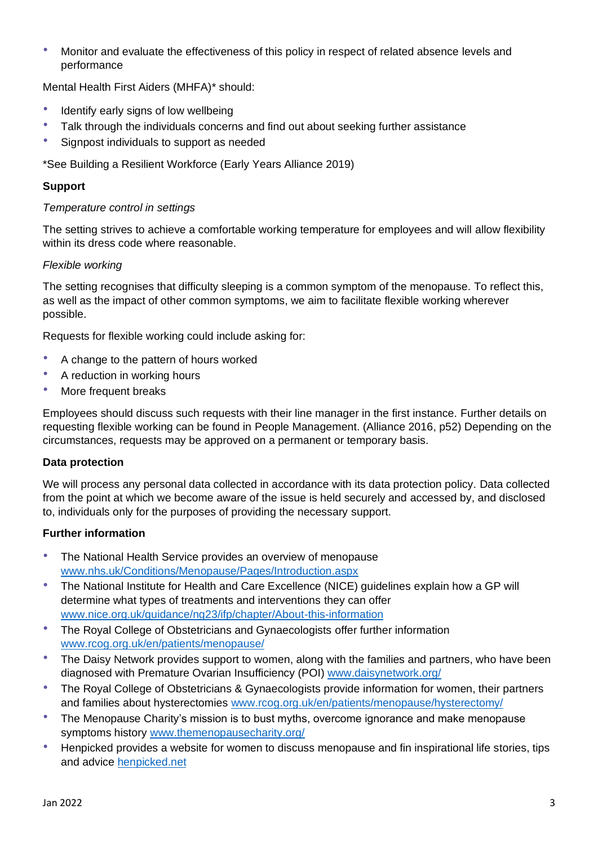• Monitor and evaluate the effectiveness of this policy in respect of related absence levels and performance

Mental Health First Aiders (MHFA)\* should:

- Identify early signs of low wellbeing
- Talk through the individuals concerns and find out about seeking further assistance
- Signpost individuals to support as needed

\*See Building a Resilient Workforce (Early Years Alliance 2019)

# **Support**

## *Temperature control in settings*

The setting strives to achieve a comfortable working temperature for employees and will allow flexibility within its dress code where reasonable.

# *Flexible working*

The setting recognises that difficulty sleeping is a common symptom of the menopause. To reflect this, as well as the impact of other common symptoms, we aim to facilitate flexible working wherever possible.

Requests for flexible working could include asking for:

- A change to the pattern of hours worked
- A reduction in working hours
- More frequent breaks

Employees should discuss such requests with their line manager in the first instance. Further details on requesting flexible working can be found in People Management. (Alliance 2016, p52) Depending on the circumstances, requests may be approved on a permanent or temporary basis.

## **Data protection**

We will process any personal data collected in accordance with its data protection policy. Data collected from the point at which we become aware of the issue is held securely and accessed by, and disclosed to, individuals only for the purposes of providing the necessary support.

# **Further information**

- The National Health Service provides an overview of menopause [www.nhs.uk/Conditions/Menopause/Pages/Introduction.aspx](http://www.nhs.uk/Conditions/Menopause/Pages/Introduction.aspx)
- The National Institute for Health and Care Excellence (NICE) guidelines explain how a GP will determine what types of treatments and interventions they can offer [www.nice.org.uk/guidance/ng23/ifp/chapter/About-this-information](http://www.nice.org.uk/guidance/ng23/ifp/chapter/About-this-information)
- The Royal College of Obstetricians and Gynaecologists offer further information [www.rcog.org.uk/en/patients/menopause/](http://www.rcog.org.uk/en/patients/menopause/)
- The Daisy Network provides support to women, along with the families and partners, who have been diagnosed with Premature Ovarian Insufficiency (POI) [www.daisynetwork.org/](http://www.daisynetwork.org/)
- The Royal College of Obstetricians & Gynaecologists provide information for women, their partners and families about hysterectomies [www.rcog.org.uk/en/patients/menopause/hysterectomy/](http://www.rcog.org.uk/en/patients/menopause/hysterectomy/)
- The Menopause Charity's mission is to bust myths, overcome ignorance and make menopause symptoms history [www.themenopausecharity.org/](http://www.themenopausecharity.org/)
- Henpicked provides a website for women to discuss menopause and fin inspirational life stories, tips and advice [henpicked.net](https://henpicked.net/)